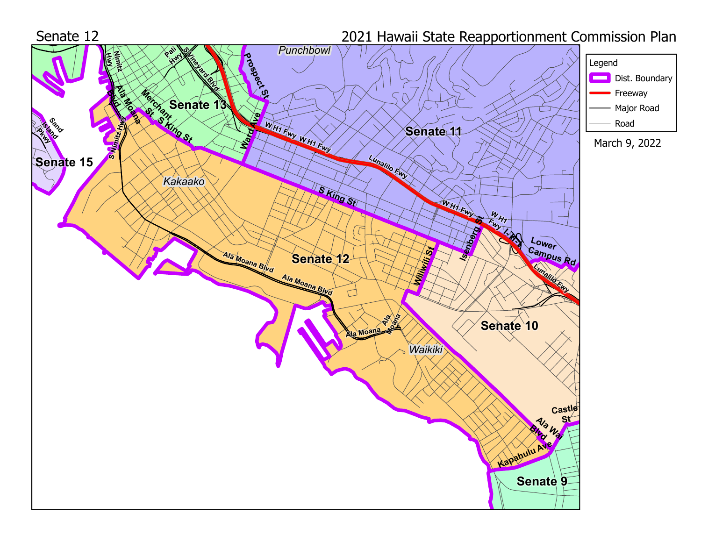